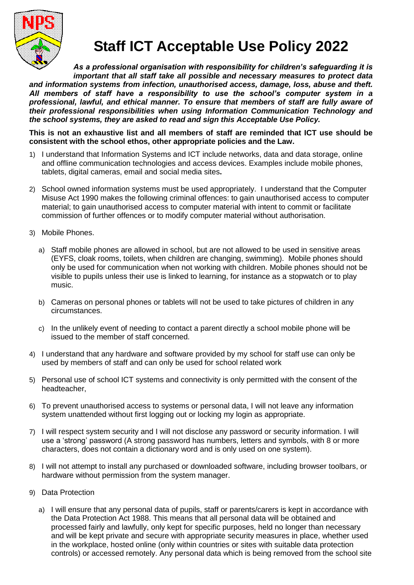

## **Staff ICT Acceptable Use Policy 2022**

*As a professional organisation with responsibility for children's safeguarding it is important that all staff take all possible and necessary measures to protect data and information systems from infection, unauthorised access, damage, loss, abuse and theft. All members of staff have a responsibility to use the school's computer system in a professional, lawful, and ethical manner. To ensure that members of staff are fully aware of their professional responsibilities when using Information Communication Technology and the school systems, they are asked to read and sign this Acceptable Use Policy.* 

**This is not an exhaustive list and all members of staff are reminded that ICT use should be consistent with the school ethos, other appropriate policies and the Law.**

- 1) I understand that Information Systems and ICT include networks, data and data storage, online and offline communication technologies and access devices. Examples include mobile phones, tablets, digital cameras, email and social media sites**.**
- 2) School owned information systems must be used appropriately. I understand that the Computer Misuse Act 1990 makes the following criminal offences: to gain unauthorised access to computer material; to gain unauthorised access to computer material with intent to commit or facilitate commission of further offences or to modify computer material without authorisation.
- 3) Mobile Phones.
	- a) Staff mobile phones are allowed in school, but are not allowed to be used in sensitive areas (EYFS, cloak rooms, toilets, when children are changing, swimming). Mobile phones should only be used for communication when not working with children. Mobile phones should not be visible to pupils unless their use is linked to learning, for instance as a stopwatch or to play music.
	- b) Cameras on personal phones or tablets will not be used to take pictures of children in any circumstances.
	- c) In the unlikely event of needing to contact a parent directly a school mobile phone will be issued to the member of staff concerned.
- 4) I understand that any hardware and software provided by my school for staff use can only be used by members of staff and can only be used for school related work
- 5) Personal use of school ICT systems and connectivity is only permitted with the consent of the headteacher,
- 6) To prevent unauthorised access to systems or personal data, I will not leave any information system unattended without first logging out or locking my login as appropriate.
- 7) I will respect system security and I will not disclose any password or security information. I will use a 'strong' password (A strong password has numbers, letters and symbols, with 8 or more characters, does not contain a dictionary word and is only used on one system).
- 8) I will not attempt to install any purchased or downloaded software, including browser toolbars, or hardware without permission from the system manager.
- 9) Data Protection
	- a) I will ensure that any personal data of pupils, staff or parents/carers is kept in accordance with the Data Protection Act 1988. This means that all personal data will be obtained and processed fairly and lawfully, only kept for specific purposes, held no longer than necessary and will be kept private and secure with appropriate security measures in place, whether used in the workplace, hosted online (only within countries or sites with suitable data protection controls) or accessed remotely. Any personal data which is being removed from the school site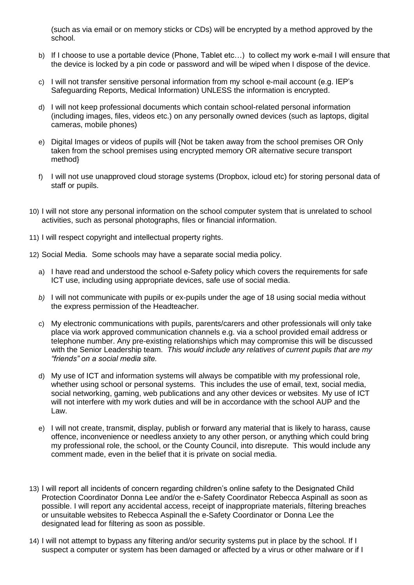(such as via email or on memory sticks or CDs) will be encrypted by a method approved by the school.

- b) If I choose to use a portable device (Phone, Tablet etc…) to collect my work e-mail I will ensure that the device is locked by a pin code or password and will be wiped when I dispose of the device.
- c) I will not transfer sensitive personal information from my school e-mail account (e.g. IEP's Safeguarding Reports, Medical Information) UNLESS the information is encrypted.
- d) I will not keep professional documents which contain school-related personal information (including images, files, videos etc.) on any personally owned devices (such as laptops, digital cameras, mobile phones)
- e) Digital Images or videos of pupils will {Not be taken away from the school premises OR Only taken from the school premises using encrypted memory OR alternative secure transport method}
- f) I will not use unapproved cloud storage systems (Dropbox, icloud etc) for storing personal data of staff or pupils.
- 10) I will not store any personal information on the school computer system that is unrelated to school activities, such as personal photographs, files or financial information.
- 11) I will respect copyright and intellectual property rights.
- 12) Social Media. Some schools may have a separate social media policy.
	- a) I have read and understood the school e-Safety policy which covers the requirements for safe ICT use, including using appropriate devices, safe use of social media.
	- *b)* I will not communicate with pupils or ex-pupils under the age of 18 using social media without the express permission of the Headteacher*.*
	- c) My electronic communications with pupils, parents/carers and other professionals will only take place via work approved communication channels e.g. via a school provided email address or telephone number. Any pre-existing relationships which may compromise this will be discussed with the Senior Leadership team. *This would include any relatives of current pupils that are my "friends" on a social media site.*
	- d) My use of ICT and information systems will always be compatible with my professional role, whether using school or personal systems. This includes the use of email, text, social media, social networking, gaming, web publications and any other devices or websites. My use of ICT will not interfere with my work duties and will be in accordance with the school AUP and the Law.
	- e) I will not create, transmit, display, publish or forward any material that is likely to harass, cause offence, inconvenience or needless anxiety to any other person, or anything which could bring my professional role, the school, or the County Council, into disrepute. This would include any comment made, even in the belief that it is private on social media.
- 13) I will report all incidents of concern regarding children's online safety to the Designated Child Protection Coordinator Donna Lee and/or the e-Safety Coordinator Rebecca Aspinall as soon as possible. I will report any accidental access, receipt of inappropriate materials, filtering breaches or unsuitable websites to Rebecca Aspinall the e-Safety Coordinator or Donna Lee the designated lead for filtering as soon as possible.
- 14) I will not attempt to bypass any filtering and/or security systems put in place by the school. If I suspect a computer or system has been damaged or affected by a virus or other malware or if I